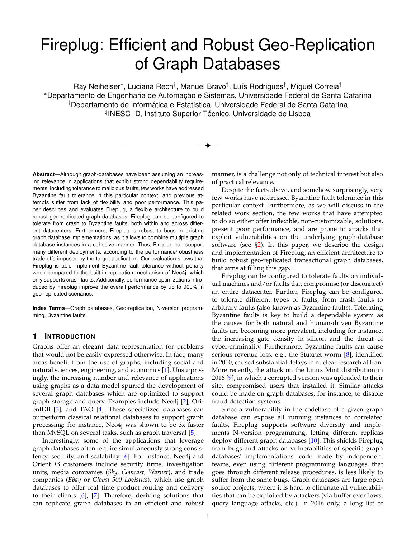# <span id="page-0-0"></span>Fireplug: Efficient and Robust Geo-Replication of Graph Databases

Ray Neiheiser\*, Luciana Rech<sup>†</sup>, Manuel Bravo‡, Luís Rodrigues<sup>‡</sup>, Miguel Correia‡ \*Departamento de Engenharia de Automação e Sistemas, Universidade Federal de Santa Catarina †Departamento de Informática e Estatística, Universidade Federal de Santa Catarina <sup>‡</sup>INESC-ID, Instituto Superior Técnico, Universidade de Lisboa

✦

**Abstract**—Although graph-databases have been assuming an increasing relevance in applications that exhibit strong dependability requirements, including tolerance to malicious faults, few works have addressed Byzantine fault tolerance in this particular context, and previous attempts suffer from lack of flexibility and poor performance. This paper describes and evaluates Fireplug, a flexible architecture to build robust geo-replicated graph databases. Fireplug can be configured to tolerate from crash to Byzantine faults, both within and across different datacenters. Furthermore, Fireplug is robust to bugs in existing graph database implementations, as it allows to combine multiple graph database instances in a cohesive manner. Thus, Fireplug can support many different deployments, according to the performance/robustness trade-offs imposed by the target application. Our evaluation shows that Fireplug is able implement Byzantine fault tolerance without penalty when compared to the built-in replication mechanism of Neo4j, which only supports crash faults. Additionally, performance optimizations introduced by Fireplug improve the overall performance by up to 900% in geo-replicated scenarios.

**Index Terms**—Graph databases, Geo-replication, N-version programming, Byzantine faults.

# **1 INTRODUCTION**

Graphs offer an elegant data representation for problems that would not be easily expressed otherwise. In fact, many areas benefit from the use of graphs, including social and natural sciences, engineering, and economics [\[1\]](#page-10-0). Unsurprisingly, the increasing number and relevance of applications using graphs as a data model spurred the development of several graph databases which are optimized to support graph storage and query. Examples include Neo4j [\[2\]](#page-10-1), OrientDB [\[3\]](#page-10-2), and TAO [\[4\]](#page-10-3). These specialized databases can outperform classical relational databases to support graph processing: for instance, Neo4j was shown to be 3x faster than MySQL on several tasks, such as graph traversal [\[5\]](#page-10-4).

Interestingly, some of the applications that leverage graph databases often require simultaneously strong consistency, security, and scalability [\[6\]](#page-10-5). For instance, Neo4j and OrientDB customers include security firms, investigation units, media companies (*Sky, Comcast, Warner*), and trade companies (*Ebay* or *Global 500 Logistics*), which use graph databases to offer real time product routing and delivery to their clients [\[6\]](#page-10-5), [\[7\]](#page-10-6). Therefore, deriving solutions that can replicate graph databases in an efficient and robust

manner, is a challenge not only of technical interest but also of practical relevance.

Despite the facts above, and somehow surprisingly, very few works have addressed Byzantine fault tolerance in this particular context. Furthermore, as we will discuss in the related work section, the few works that have attempted to do so either offer inflexible, non-customizable, solutions, present poor performance, and are prone to attacks that exploit vulnerabilities on the underlying graph-database software (see  $\S$ [2\)](#page-1-0). In this paper, we describe the design and implementation of Fireplug, an efficient architecture to build robust geo-replicated transactional graph databases, that aims at filling this gap.

Fireplug can be configured to tolerate faults on individual machines and/or faults that compromise (or disconnect) an entire datacenter. Further, Fireplug can be configured to tolerate different types of faults, from crash faults to arbitrary faults (also known as Byzantine faults). Tolerating Byzantine faults is key to build a dependable system as the causes for both natural and human-driven Byzantine faults are becoming more prevalent, including for instance, the increasing gate density in silicon and the threat of cyber-criminality. Furthermore, Byzantine faults can cause serious revenue loss, e.g., the Stuxnet worm [\[8\]](#page-10-7), identified in 2010, caused substantial delays in nuclear research at Iran. More recently, the attack on the Linux Mint distribution in 2016 [\[9\]](#page-10-8), in which a corrupted version was uploaded to their site, compromised users that installed it. Similar attacks could be made on graph databases, for instance, to disable fraud detection systems.

Since a vulnerability in the codebase of a given graph database can expose all running instances to correlated faults, Fireplug supports software diversity and implements N-version programming, letting different replicas deploy different graph databases [\[10\]](#page-10-9). This shields Fireplug from bugs and attacks on vulnerabilities of specific graph databases' implementations: code made by independent teams, even using different programming languages, that goes through different release procedures, is less likely to suffer from the same bugs. Graph databases are large open source projects, where it is hard to eliminate all vulnerabilities that can be exploited by attackers (via buffer overflows, query language attacks, etc.). In 2016 only, a long list of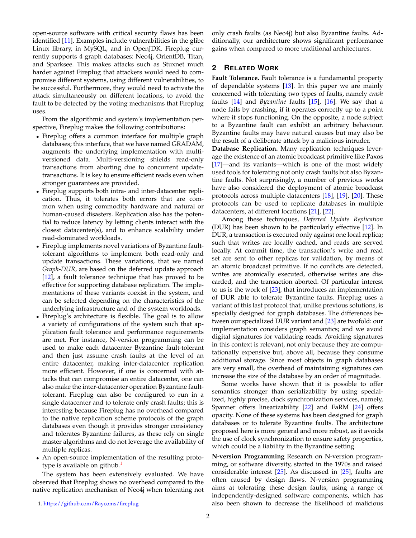open-source software with critical security flaws has been identified [\[11\]](#page-10-10). Examples include vulnerabilities in the glibc Linux library, in MySQL, and in OpenJDK. Fireplug currently supports 4 graph databases: Neo4j, OrientDB, Titan, and Sparksee. This makes attacks such as Stuxnet much harder against Fireplug that attackers would need to compromise different systems, using different vulnerabilities, to be successful. Furthermore, they would need to activate the attack simultaneously on different locations, to avoid the fault to be detected by the voting mechanisms that Fireplug uses.

From the algorithmic and system's implementation perspective, Fireplug makes the following contributions:

- Fireplug offers a common interface for multiple graph databases; this interface, that we have named GRADAM, augments the underlying implementation with multiversioned data. Multi-versioning shields read-only transactions from aborting due to concurrent updatetransactions. It is key to ensure efficient reads even when stronger guarantees are provided.
- Fireplug supports both intra- and inter-datacenter replication. Thus, it tolerates both errors that are common when using commodity hardware and natural or human-caused disasters. Replication also has the potential to reduce latency by letting clients interact with the closest datacenter(s), and to enhance scalability under read-dominated workloads.
- Fireplug implements novel variations of Byzantine faulttolerant algorithms to implement both read-only and update transactions. These variations, that we named *Graph-DUR*, are based on the deferred update approach [\[12\]](#page-10-11), a fault tolerance technique that has proved to be effective for supporting database replication. The implementations of these variants coexist in the system, and can be selected depending on the characteristics of the underlying infrastructure and of the system workloads.
- Fireplug's architecture is flexible. The goal is to allow a variety of configurations of the system such that application fault tolerance and performance requirements are met. For instance, N-version programming can be used to make each datacenter Byzantine fault-tolerant and then just assume crash faults at the level of an entire datacenter, making inter-datacenter replication more efficient. However, if one is concerned with attacks that can compromise an entire datacenter, one can also make the inter-datacenter operation Byzantine faulttolerant. Fireplug can also be configured to run in a single datacenter and to tolerate only crash faults; this is interesting because Fireplug has no overhead compared to the native replication scheme protocols of the graph databases even though it provides stronger consistency and tolerates Byzantine failures, as these rely on single master algorithms and do not leverage the availability of multiple replicas.
- An open-source implementation of the resulting prototype is available on github. $<sup>1</sup>$  $<sup>1</sup>$  $<sup>1</sup>$ </sup>

The system has been extensively evaluated. We have observed that Fireplug shows no overhead compared to the native replication mechanism of Neo4j when tolerating not only crash faults (as Neo4j) but also Byzantine faults. Additionally, our architecture shows significant performance gains when compared to more traditional architectures.

# <span id="page-1-0"></span>**2 RELATED WORK**

**Fault Tolerance.** Fault tolerance is a fundamental property of dependable systems [\[13\]](#page-10-12). In this paper we are mainly concerned with tolerating two types of faults, namely *crash* faults [\[14\]](#page-10-13) and *Byzantine* faults [\[15\]](#page-10-14), [\[16\]](#page-10-15). We say that a node fails by crashing, if it operates correctly up to a point where it stops functioning. On the opposite, a node subject to a Byzantine fault can exhibit an arbitrary behaviour. Byzantine faults may have natural causes but may also be the result of a deliberate attack by a malicious intruder.

**Database Replication.** Many replication techniques leverage the existence of an atomic broadcast primitive like Paxos [\[17\]](#page-10-16)—and its variants—which is one of the most widely used tools for tolerating not only crash faults but also Byzantine faults. Not surprisingly, a number of previous works have also considered the deployment of atomic broadcast protocols across multiple datacenters [\[18\]](#page-10-17), [\[19\]](#page-10-18), [\[20\]](#page-10-19). These protocols can be used to replicate databases in multiple datacenters, at different locations [\[21\]](#page-10-20), [\[22\]](#page-11-0).

Among these techniques, *Deferred Update Replication* (DUR) has been shown to be particularly effective [\[12\]](#page-10-11). In DUR, a transaction is executed only against one local replica; such that writes are locally cached, and reads are served locally. At commit time, the transaction's write and read set are sent to other replicas for validation, by means of an atomic broadcast primitive. If no conflicts are detected, writes are atomically executed, otherwise writes are discarded, and the transaction aborted. Of particular interest to us is the work of [\[23\]](#page-11-1), that introduces an implementation of DUR able to tolerate Byzantine faults. Fireplug uses a variant of this last protocol that, unlike previous solutions, is specially designed for graph databases. The differences between our specialized DUR variant and [\[23\]](#page-11-1) are twofold: our implementation considers graph semantics; and we avoid digital signatures for validating reads. Avoiding signatures in this context is relevant, not only because they are computationally expensive but, above all, because they consume additional storage. Since most objects in graph databases are very small, the overhead of maintaining signatures can increase the size of the database by an order of magnitude.

Some works have shown that it is possible to offer semantics stronger than serializability by using specialized, highly precise, clock synchronization services, namely, Spanner offers linearizability [\[22\]](#page-11-0) and FaRM [\[24\]](#page-11-2) offers opacity. None of these systems has been designed for graph databases or to tolerate Byzantine faults. The architecture proposed here is more general and more robust, as it avoids the use of clock synchronization to ensure safety properties, which could be a liability in the Byzantine setting.

**N-version Programming** Research on N-version programming, or software diversity, started in the 1970s and raised considerable interest [\[25\]](#page-11-3). As discussed in [\[25\]](#page-11-3), faults are often caused by design flaws. N-version programming aims at tolerating these design faults, using a range of independently-designed software components, which has also been shown to decrease the likelihood of malicious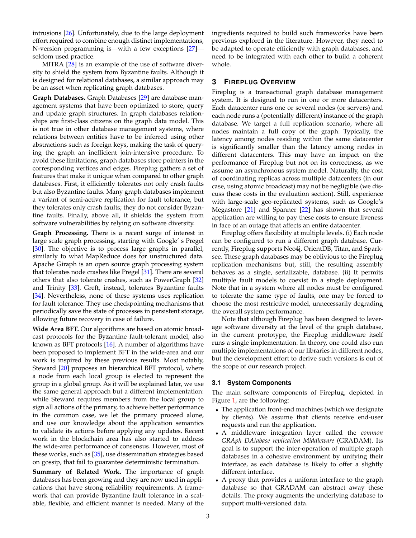intrusions [\[26\]](#page-11-4). Unfortunately, due to the large deployment effort required to combine enough distinct implementations, N-version programming is—with a few exceptions [\[27\]](#page-11-5) seldom used practice.

MITRA [\[28\]](#page-11-6) is an example of the use of software diversity to shield the system from Byzantine faults. Although it is designed for relational databases, a similar approach may be an asset when replicating graph databases.

**Graph Databases.** Graph Databases [\[29\]](#page-11-7) are database management systems that have been optimized to store, query and update graph structures. In graph databases relationships are first-class citizens on the graph data model. This is not true in other database management systems, where relations between entities have to be inferred using other abstractions such as foreign keys, making the task of querying the graph an inefficient join-intensive procedure. To avoid these limitations, graph databases store pointers in the corresponding vertices and edges. Fireplug gathers a set of features that make it unique when compared to other graph databases. First, it efficiently tolerates not only crash faults but also Byzantine faults. Many graph databases implement a variant of semi-active replication for fault tolerance, but they tolerates only crash faults; they do not consider Byzantine faults. Finally, above all, it shields the system from software vulnerabilities by relying on software diversity.

**Graph Processing.** There is a recent surge of interest in large scale graph processing, starting with Google' s Pregel [\[30\]](#page-11-8). The objective is to process large graphs in parallel, similarly to what MapReduce does for unstructured data. Apache Giraph is an open source graph processing system that tolerates node crashes like Pregel [\[31\]](#page-11-9). There are several others that also tolerate crashes, such as PowerGraph [\[32\]](#page-11-10) and Trinity [\[33\]](#page-11-11). Greft, instead, tolerates Byzantine faults [\[34\]](#page-11-12). Nevertheless, none of these systems uses replication for fault tolerance. They use checkpointing mechanisms that periodically save the state of processes in persistent storage, allowing future recovery in case of failure.

**Wide Area BFT.** Our algorithms are based on atomic broadcast protocols for the Byzantine fault-tolerant model, also known as BFT protocols [\[16\]](#page-10-15). A number of algorithms have been proposed to implement BFT in the wide-area and our work is inspired by these previous results. Most notably, Steward [\[20\]](#page-10-19) proposes an hierarchical BFT protocol, where a node from each local group is elected to represent the group in a global group. As it will be explained later, we use the same general approach but a different implementation: while Steward requires members from the local group to sign all actions of the primary, to achieve better performance in the common case, we let the primary proceed alone, and use our knowledge about the application semantics to validate its actions before applying any updates. Recent work in the blockchain area has also started to address the wide-area performance of consensus. However, most of these works, such as [\[35\]](#page-11-13), use dissemination strategies based on gossip, that fail to guarantee deterministic termination.

**Summary of Related Work.** The importance of graph databases has been growing and they are now used in applications that have strong reliability requirements. A framework that can provide Byzantine fault tolerance in a scalable, flexible, and efficient manner is needed. Many of the ingredients required to build such frameworks have been previous explored in the literature. However, they need to be adapted to operate efficiently with graph databases, and need to be integrated with each other to build a coherent whole.

# **3 FIREPLUG OVERVIEW**

Fireplug is a transactional graph database management system. It is designed to run in one or more datacenters. Each datacenter runs one or several nodes (or servers) and each node runs a (potentially different) instance of the graph database. We target a full replication scenario, where all nodes maintain a full copy of the graph. Typically, the latency among nodes residing within the same datacenter is significantly smaller than the latency among nodes in different datacenters. This may have an impact on the performance of Fireplug but not on its correctness, as we assume an asynchronous system model. Naturally, the cost of coordinating replicas across multiple datacenters (in our case, using atomic broadcast) may not be negligible (we discuss these costs in the evaluation section). Still, experience with large-scale geo-replicated systems, such as Google's Megastore [\[21\]](#page-10-20) and Spanner [\[22\]](#page-11-0) has shown that several application are willing to pay these costs to ensure liveness in face of an outage that affects an entire datacenter.

Fireplug offers flexibility at multiple levels. (i) Each node can be configured to run a different graph database. Currently, Fireplug supports Neo4j, OrientDB, Titan, and Sparksee. These graph databases may be oblivious to the Fireplug replication mechanisms but, still, the resulting assembly behaves as a single, serializable, database. (ii) It permits multiple fault models to coexist in a single deployment. Note that in a system where all nodes must be configured to tolerate the same type of faults, one may be forced to choose the most restrictive model, unnecessarily degrading the overall system performance.

Note that although Fireplug has been designed to leverage software diversity at the level of the graph database, in the current prototype, the Fireplug middleware itself runs a single implementation. In theory, one could also run multiple implementations of our libraries in different nodes, but the development effort to derive such versions is out of the scope of our research project.

# **3.1 System Components**

The main software components of Fireplug, depicted in Figure [1,](#page-3-0) are the following:

- The application front-end machines (which we designate by clients). We assume that clients receive end-user requests and run the application.
- A middleware integration layer called the *common GRAph DAtabase replication Middleware* (GRADAM). Its goal is to support the inter-operation of multiple graph databases in a cohesive environment by unifying their interface, as each database is likely to offer a slightly different interface.
- A proxy that provides a uniform interface to the graph database so that GRADAM can abstract away these details. The proxy augments the underlying database to support multi-versioned data.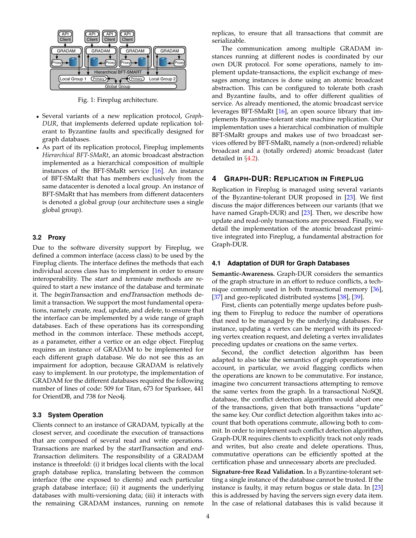<span id="page-3-0"></span>

Fig. 1: Fireplug architecture.

- Several variants of a new replication protocol, *Graph-DUR*, that implements deferred update replication tolerant to Byzantine faults and specifically designed for graph databases.
- As part of its replication protocol, Fireplug implements *Hierarchical BFT-SMaRt*, an atomic broadcast abstraction implemented as a hierarchical composition of multiple instances of the BFT-SMaRt service [\[16\]](#page-10-15). An instance of BFT-SMaRt that has members exclusively from the same datacenter is denoted a local group. An instance of BFT-SMaRt that has members from different datacenters is denoted a global group (our architecture uses a single global group).

#### **3.2 Proxy**

Due to the software diversity support by Fireplug, we defined a common interface (access class) to be used by the Fireplug clients. The interface defines the methods that each individual access class has to implement in order to ensure interoperability. The start and terminate methods are required to start a new instance of the database and terminate it. The beginTransaction and endTransaction methods delimit a transaction. We support the most fundamental operations, namely create, read, update, and delete, to ensure that the interface can be implemented by a wide range of graph databases. Each of these operations has its corresponding method in the common interface. These methods accept, as a parameter, either a vertice or an edge object. Fireplug requires an instance of GRADAM to be implemented for each different graph database. We do not see this as an impairment for adoption, because GRADAM is relatively easy to implement. In our prototype, the implementation of GRADAM for the different databases required the following number of lines of code: 509 for Titan, 673 for Sparksee, 441 for OrientDB, and 738 for Neo4j.

#### **3.3 System Operation**

Clients connect to an instance of GRADAM, typically at the closest server, and coordinate the execution of transactions that are composed of several read and write operations. Transactions are marked by the startTransaction and end-Transaction delimiters. The responsibility of a GRADAM instance is threefold: (i) it bridges local clients with the local graph database replica, translating between the common interface (the one exposed to clients) and each particular graph database interface; (ii) it augments the underlying databases with multi-versioning data; (iii) it interacts with the remaining GRADAM instances, running on remote

replicas, to ensure that all transactions that commit are serializable.

The communication among multiple GRADAM instances running at different nodes is coordinated by our own DUR protocol. For some operations, namely to implement update-transactions, the explicit exchange of messages among instances is done using an atomic broadcast abstraction. This can be configured to tolerate both crash and Byzantine faults, and to offer different qualities of service. As already mentioned, the atomic broadcast service leverages BFT-SMaRt [\[16\]](#page-10-15), an open source library that implements Byzantine-tolerant state machine replication. Our implementation uses a hierarchical combination of multiple BFT-SMaRt groups and makes use of two broadcast services offered by BFT-SMaRt, namely a (non-ordered) reliable broadcast and a (totally ordered) atomic broadcast (later detailed in §[4.2\)](#page-4-0).

# **4 GRAPH-DUR: REPLICATION IN FIREPLUG**

Replication in Fireplug is managed using several variants of the Byzantine-tolerant DUR proposed in [\[23\]](#page-11-1). We first discuss the major differences between our variants (that we have named Graph-DUR) and [\[23\]](#page-11-1). Then, we describe how update and read-only transactions are processed. Finally, we detail the implementation of the atomic broadcast primitive integrated into Fireplug, a fundamental abstraction for Graph-DUR.

#### **4.1 Adaptation of DUR for Graph Databases**

**Semantic-Awareness.** Graph-DUR considers the semantics of the graph structure in an effort to reduce conflicts, a technique commonly used in both transactional memory [\[36\]](#page-11-14), [\[37\]](#page-11-15) and geo-replicated distributed systems [\[38\]](#page-11-16), [\[39\]](#page-11-17).

First, clients can potentially merge updates before pushing them to Fireplug to reduce the number of operations that need to be managed by the underlying databases. For instance, updating a vertex can be merged with its preceding vertex creation request, and deleting a vertex invalidates preceding updates or creations on the same vertex.

Second, the conflict detection algorithm has been adapted to also take the semantics of graph operations into account, in particular, we avoid flagging conflicts when the operations are known to be commutative. For instance, imagine two concurrent transactions attempting to remove the same vertex from the graph. In a transactional NoSQL database, the conflict detection algorithm would abort one of the transactions, given that both transactions "update" the same key. Our conflict detection algorithm takes into account that both operations commute, allowing both to commit. In order to implement such conflict detection algorithm, Graph-DUR requires clients to explicitly track not only reads and writes, but also create and delete operations. Thus, commutative operations can be efficiently spotted at the certification phase and unnecessary aborts are precluded.

**Signature-free Read Validation.** In a Byzantine-tolerant setting a single instance of the database cannot be trusted. If the instance is faulty, it may return bogus or stale data. In [\[23\]](#page-11-1) this is addressed by having the servers sign every data item. In the case of relational databases this is valid because it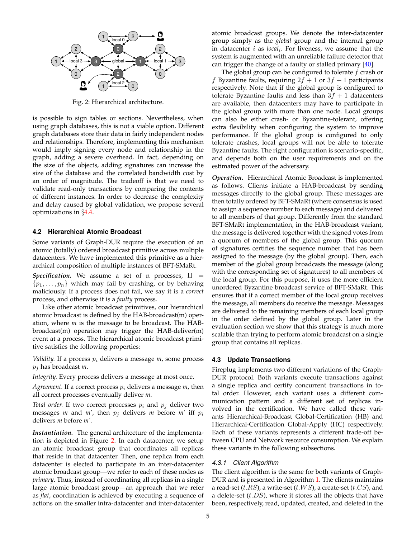<span id="page-4-1"></span>

Fig. 2: Hierarchical architecture.

is possible to sign tables or sections. Nevertheless, when using graph databases, this is not a viable option. Different graph databases store their data in fairly independent nodes and relationships. Therefore, implementing this mechanism would imply signing every node and relationship in the graph, adding a severe overhead. In fact, depending on the size of the objects, adding signatures can increase the size of the database and the correlated bandwidth cost by an order of magnitude. The tradeoff is that we need to validate read-only transactions by comparing the contents of different instances. In order to decrease the complexity and delay caused by global validation, we propose several optimizations in §[4.4.](#page-6-0)

# <span id="page-4-0"></span>**4.2 Hierarchical Atomic Broadcast**

Some variants of Graph-DUR require the execution of an atomic (totally) ordered broadcast primitive across multiple datacenters. We have implemented this primitive as a hierarchical composition of multiple instances of BFT-SMaRt.

*Specification.* We assume a set of n processes,  $\Pi$  =  $\{p_1, \ldots, p_n\}$  which may fail by crashing, or by behaving maliciously. If a process does not fail, we say it is a *correct* process, and otherwise it is a *faulty* process.

Like other atomic broadcast primitives, our hierarchical atomic broadcast is defined by the HAB-broadcast(m) operation, where *m* is the message to be broadcast. The HABbroadcast(m) operation may trigger the HAB-deliver(m) event at a process. The hierarchical atomic broadcast primitive satisfies the following properties:

*Validity.* If a process  $p_i$  delivers a message  $m$ , some process p<sup>j</sup> has broadcast *m*.

*Integrity.* Every process delivers a message at most once.

*Agreement.* If a correct process  $p_i$  delivers a message  $m$ , then all correct processes eventually deliver *m*.

*Total order.* If two correct processes  $p_i$  and  $p_j$  deliver two messages *m* and *m'*, then  $p_j$  delivers *m* before *m'* iff  $p_i$ delivers *m* before *m'*.

*Instantiation.* The general architecture of the implementation is depicted in Figure [2.](#page-4-1) In each datacenter, we setup an atomic broadcast group that coordinates all replicas that reside in that datacenter. Then, one replica from each datacenter is elected to participate in an inter-datacenter atomic broadcast group—we refer to each of these nodes as *primary*. Thus, instead of coordinating all replicas in a single large atomic broadcast group—an approach that we refer as *flat*, coordination is achieved by executing a sequence of actions on the smaller intra-datacenter and inter-datacenter

atomic broadcast groups. We denote the inter-datacenter group simply as the *global* group and the internal group in datacenter *i* as *local<sub>i</sub>*. For liveness, we assume that the system is augmented with an unreliable failure detector that can trigger the change of a faulty or stalled primary  $[40]$ .

The global group can be configured to tolerate  $f$  crash or f Byzantine faults, requiring  $2f + 1$  or  $3f + 1$  participants respectively. Note that if the global group is configured to tolerate Byzantine faults and less than  $3f + 1$  datacenters are available, then datacenters may have to participate in the global group with more than one node. Local groups can also be either crash- or Byzantine-tolerant, offering extra flexibility when configuring the system to improve performance. If the global group is configured to only tolerate crashes, local groups will not be able to tolerate Byzantine faults. The right configuration is scenario-specific, and depends both on the user requirements and on the estimated power of the adversary.

*Operation.* Hierarchical Atomic Broadcast is implemented as follows. Clients initiate a HAB-broadcast by sending messages directly to the global group. These messages are then totally ordered by BFT-SMaRt (where consensus is used to assign a sequence number to each message) and delivered to all members of that group. Differently from the standard BFT-SMaRt implementation, in the HAB-broadcast variant, the message is delivered together with the signed votes from a quorum of members of the global group. This quorum of signatures certifies the sequence number that has been assigned to the message (by the global group). Then, each member of the global group broadcasts the message (along with the corresponding set of signatures) to all members of the local group. For this purpose, it uses the more efficient unordered Byzantine broadcast service of BFT-SMaRt. This ensures that if a correct member of the local group receives the message, all members do receive the message. Messages are delivered to the remaining members of each local group in the order defined by the global group. Later in the evaluation section we show that this strategy is much more scalable than trying to perform atomic broadcast on a single group that contains all replicas.

#### <span id="page-4-2"></span>**4.3 Update Transactions**

Fireplug implements two different variations of the Graph-DUR protocol. Both variants execute transactions against a single replica and certify concurrent transactions in total order. However, each variant uses a different communication pattern and a different set of replicas involved in the certification. We have called these variants Hierarchical-Broadcast Global-Certification (HB) and Hierarchical-Certification Global-Apply (HC) respectively. Each of these variants represents a different trade-off between CPU and Network resource consumption. We explain these variants in the following subsections.

#### *4.3.1 Client Algorithm*

The client algorithm is the same for both variants of Graph-DUR and is presented in Algorithm [1.](#page-5-0) The clients maintains a read-set  $(t.RS)$ , a write-set  $(t.WS)$ , a create-set  $(t.CS)$ , and a delete-set  $(t.DS)$ , where it stores all the objects that have been, respectively, read, updated, created, and deleted in the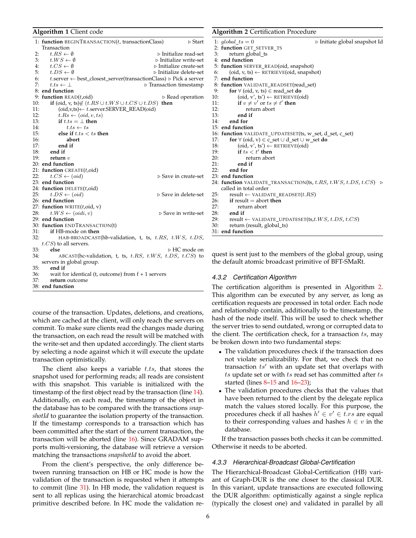#### <span id="page-5-0"></span>**Algorithm 1** Client code

|     | 1: function BEGINTRANSACTION(t, transactionClass)<br>$\triangleright$ Start<br>Transaction |
|-----|--------------------------------------------------------------------------------------------|
| 2:  | $t.RS \leftarrow \emptyset$<br>$\triangleright$ Initialize read-set                        |
| 3:  | $t.WS \leftarrow \emptyset$<br>$\triangleright$ Initialize write-set                       |
| 4:  | $t.CS \leftarrow \emptyset$<br>$\triangleright$ Initialize create-set                      |
| 5:  | $t.DS \leftarrow \emptyset$<br>⊳ Initialize delete-set                                     |
| 6:  | t.server $\leftarrow$ best closest server(transactionClass) $\triangleright$ Pick a server |
| 7:  | $t.ts \leftarrow \perp$<br>$\triangleright$ Transaction timestamp                          |
|     | 8: end function                                                                            |
|     | 9: function $READ(t,oid)$<br>$\triangleright$ Read operation                               |
| 10: | if (oid, v, ts) $\notin$ $(t.RS \cup t.WS \cup t.CS \cup t.DS)$<br>then                    |
| 11: | $(\text{oid}, v, ts) \leftarrow t$ .server.SERVER READ $(\text{oid})$                      |
| 12: | $t.Rs \leftarrow (oid, v, ts)$                                                             |
| 13: | if $t.ts = \bot$ then                                                                      |
| 14: | $t.ts \leftarrow ts$                                                                       |
| 15: | else if $t.ts < ts$ then                                                                   |
| 16: | abort                                                                                      |
| 17: | end if                                                                                     |
| 18: | end if                                                                                     |
| 19: | return $v$                                                                                 |
|     | 20: end function                                                                           |
|     | 21: function CREATE $(t, \text{oid})$                                                      |
| 22: | $t.CS \leftarrow (oid)$<br>$\triangleright$ Save in create-set                             |
|     | 23: end function                                                                           |
|     | 24: function DELETE $(t, \text{oid})$                                                      |
| 25: | $t.DS \leftarrow (oid)$<br>$\triangleright$ Save in delete-set                             |
|     | 26: end function                                                                           |
|     | 27: function WRITE(t,oid, v)                                                               |
| 28: | $t.WS \leftarrow (oidi, v)$<br>$\triangleright$ Save in write-set                          |
|     | 29: end function                                                                           |
|     | 30: function ENDTRANSACTION(t)                                                             |
| 31: | if HB-mode on then                                                                         |
| 32: | HAB-BROADCAST(hb-validation, t, ts, t.RS, t.WS, t.DS,                                      |
|     | $t.CS$ ) to all servers.                                                                   |
| 33: | else<br>$\triangleright$ HC mode on                                                        |
| 34: | ABCAST(hc-validation, t, ts, t.RS, t.WS, t.DS, t.CS) to                                    |
|     | servers in global group.                                                                   |
| 35: | end if                                                                                     |
| 36: | wait for identical (t, outcome) from $f + 1$ servers                                       |
| 37: | return outcome                                                                             |

38: **end function**

course of the transaction. Updates, deletions, and creations, which are cached at the client, will only reach the servers on commit. To make sure clients read the changes made during the transaction, on each read the result will be matched with the write-set and then updated accordingly. The client starts by selecting a node against which it will execute the update transaction optimistically.

The client also keeps a variable  $t.ts$ , that stores the snapshot used for performing reads; all reads are consistent with this snapshot. This variable is initialized with the timestamp of the first object read by the transaction (line [14\)](#page-5-0). Additionally, on each read, the timestamp of the object in the database has to be compared with the transactions *snapshotId* to guarantee the isolation property of the transaction. If the timestamp corresponds to a transaction which has been committed after the start of the current transaction, the transaction will be aborted (line [16\)](#page-5-0). Since GRADAM supports multi-versioning, the database will retrieve a version matching the transactions *snapshotId* to avoid the abort.

From the client's perspective, the only difference between running transaction on HB or HC mode is how the validation of the transaction is requested when it attempts to commit (line [31\)](#page-5-0). In HB mode, the validation request is sent to all replicas using the hierarchical atomic broadcast primitive described before. In HC mode the validation re-

#### <span id="page-5-1"></span>**Algorithm 2** Certification Procedure

```
1: global\_ts = 0 . \triangleright Initiate global snapshot Id
2: function GET_SETVER_TS
3: return global_ts
 4: end function
5: function SERVER READ(oid, snapshot)
6: (oid, v, ts) \leftarrow RETRIEVE(oid, snapshot)
7: end function
8: function VALIDATE_READSET(read_set)
9: for \forall (oid, v, ts) \in read_set do<br>10: (oid, v', ts') \leftarrow RETRIEVE(o
           (oid, v', ts') \leftarrow RETRIEVE(oid)11: if v \neq v' or ts \neq t' then
12: return abort
13: end if
14: end for
15: end function
16: function VALIDATE_UPDATESET(ts, w_set, d_set, c_set)
17: for \forall (oid, v) ∈ c_set \cup d_set \cup w_set do
18: (oid, v', ts') \leftarrow RETRIEVE(oid)<br>19: if ts < t' then
19: if ts < t' then
20: return abort
21: end if
22: end for
23: end function
24: function VALIDATE_TRANSACTION(ts, t.RS, t.WS, t.DS, t.CS) \trianglerightcalled in total order
25: result ← VALIDATE_READSET(t.RS)<br>26: if result = abort then
        26: if result = abort then
27: return abort<br>28: end if
28: end if
       \textit{result} \gets \textit{VALUE\_UPDATE}(\textit{ts}, t.WS, \, t.DS, \, t.CS)30: return (result, global_ts)
```
31: **end function**

quest is sent just to the members of the global group, using the default atomic broadcast primitive of BFT-SMaRt.

#### *4.3.2 Certification Algorithm*

The certification algorithm is presented in Algorithm [2.](#page-5-1) This algorithm can be executed by any server, as long as certification requests are processed in total order. Each node and relationship contain, additionally to the timestamp, the hash of the node itself. This will be used to check whether the server tries to send outdated, wrong or corrupted data to the client. The certification check, for a transaction  $ts$ , may be broken down into two fundamental steps:

- The validation procedures check if the transaction does not violate serializability. For that, we check that no transaction  $ts'$  with an update set that overlaps with ts update set or with ts read set has committed after ts started (lines [8–15](#page-5-1) and [16–23\)](#page-5-1);
- The validation procedures checks that the values that have been returned to the client by the delegate replica match the values stored locally. For this purpose, the procedures check if all hashes  $h' \in v' \in t$ . *rs* are equal to their corresponding values and hashes  $h \in v$  in the database.

If the transaction passes both checks it can be committed. Otherwise it needs to be aborted.

## *4.3.3 Hierarchical-Broadcast Global-Certification*

The Hierarchical-Broadcast Global-Certification (HB) variant of Graph-DUR is the one closer to the classical DUR. In this variant, update transactions are executed following the DUR algorithm: optimistically against a single replica (typically the closest one) and validated in parallel by all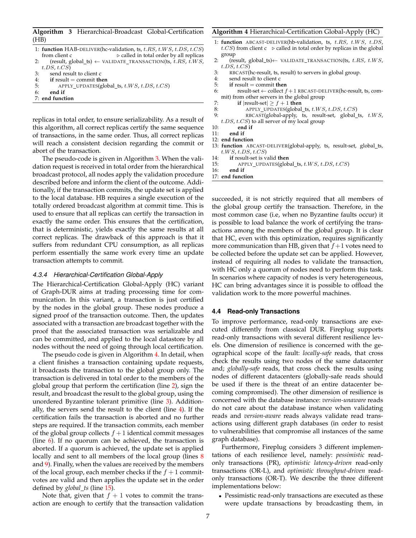<span id="page-6-1"></span>**Algorithm 3** Hierarchical-Broadcast Global-Certification (HB)

|    | 1: function HAB-DELIVER(hc-validation, ts, t.RS, t.WS, t.DS, t.CS)<br>$\triangleright$ called in total order by all replicas<br>from client c |
|----|-----------------------------------------------------------------------------------------------------------------------------------------------|
| 2: | (result, global_ts) $\leftarrow$ VALIDATE_TRANSACTION(ts, t.RS, t.WS,                                                                         |
|    | t.DS, t.CS                                                                                                                                    |
| 3: | send result to client c                                                                                                                       |
| 4: | if result $=$ commit then                                                                                                                     |
| 5: | APPLY_UPDATES(global_ts, t.W S, t.DS, t.CS)                                                                                                   |
| 6: | end if                                                                                                                                        |
|    | 7: end function                                                                                                                               |
|    |                                                                                                                                               |
|    |                                                                                                                                               |

replicas in total order, to ensure serializability. As a result of this algorithm, all correct replicas certify the same sequence of transactions, in the same order. Thus, all correct replicas will reach a consistent decision regarding the commit or abort of the transaction.

The pseudo-code is given in Algorithm [3.](#page-6-1) When the validation request is received in total order from the hierarchical broadcast protocol, all nodes apply the validation procedure described before and inform the client of the outcome. Additionally, if the transaction commits, the update set is applied to the local database. HB requires a single execution of the totally ordered broadcast algorithm at commit time. This is used to ensure that all replicas can certify the transaction in exactly the same order. This ensures that the certification, that is deterministic, yields exactly the same results at all correct replicas. The drawback of this approach is that it suffers from redundant CPU consumption, as all replicas perform essentially the same work every time an update transaction attempts to commit.

#### *4.3.4 Hierarchical-Certification Global-Apply*

The Hierarchical-Certification Global-Apply (HC) variant of Graph-DUR aims at trading processing time for communication. In this variant, a transaction is just certified by the nodes in the global group. These nodes produce a signed proof of the transaction outcome. Then, the updates associated with a transaction are broadcast together with the proof that the associated transaction was serializable and can be committed, and applied to the local datastore by all nodes without the need of going through local certification.

The pseudo code is given in Algorithm [4.](#page-6-2) In detail, when a client finishes a transaction containing update requests, it broadcasts the transaction to the global group only. The transaction is delivered in total order to the members of the global group that perform the certification (line [2\)](#page-6-2), sign the result, and broadcast the result to the global group, using the unordered Byzantine tolerant primitive (line [3\)](#page-6-2). Additionally, the servers send the result to the client (line [4\)](#page-6-2). If the certification fails the transaction is aborted and no further steps are required. If the transaction commits, each member of the global group collects  $f + 1$  identical commit messages (line [6\)](#page-6-2). If no quorum can be achieved, the transaction is aborted. If a quorum is achieved, the update set is applied locally and sent to all members of the local group (lines [8](#page-6-2)) and [9\)](#page-6-2). Finally, when the values are received by the members of the local group, each member checks if the  $f + 1$  commitvotes are valid and then applies the update set in the order defined by *global ts* (line [15\)](#page-6-2).

Note that, given that  $f + 1$  votes to commit the transaction are enough to certify that the transaction validation

#### <span id="page-6-2"></span>**Algorithm 4** Hierarchical-Certification Global-Apply (HC)

- 1: **function** ABCAST-DELIVER(hb-validation, ts, t.RS, t.WS, t.DS,  $t.CS$ ) from client  $c \geq$  called in total order by replicas in the global group
- 2: (result, global\_ts)  $\leftarrow$  VALIDATE\_TRANSACTION(ts, t.RS, t.WS,  $t.DS, t.CS$
- 3: RBCAST(hc-result, ts, result) to servers in global group.
- 4: send result to client c
- 5: **if** result = commit **then**
- 6: result-set  $\leftarrow$  collect  $f + 1$  RBCAST-DELIVER(hc-result, ts, commit) from other servers in the global group
- 7: **if**  $|result-set| \geq f + 1$  **then**
- 8:  $APPLY_UPDATES(global_ts, t.W.S, t.D.S, t.C.S)$ <br>9: RBCAST(global-apply ts, result-set, global
- $RBCAST(global-apply, ts, result-set, global_ts, t.W.S,$
- $t.DS, t.CS$ ) to all server of my local group
- 10: **end if**
- 11: **end if**
- 12: **end function**
- 13: **function** ABCAST-DELIVER(global-apply, ts, result-set, global\_ts,  $t.WS, t.DS, t.CS)$
- 14: **if** result-set is valid **then**
- 15: APPLY\_UPDATES(global\_ts, t.WS, t.DS, t.CS)
- 16: **end if**

17: **end function**

succeeded, it is not strictly required that all members of the global group certify the transaction. Therefore, in the most common case (i.e, when no Byzantine faults occur) it is possible to load balance the work of certifying the transactions among the members of the global group. It is clear that HC, even with this optimization, requires significantly more communication than HB, given that  $f+1$  votes need to be collected before the update set can be applied. However, instead of requiring all nodes to validate the transaction, with HC only a quorum of nodes need to perform this task. In scenarios where capacity of nodes is very heterogeneous, HC can bring advantages since it is possible to offload the validation work to the more powerful machines.

#### <span id="page-6-0"></span>**4.4 Read-only Transactions**

To improve performance, read-only transactions are executed differently from classical DUR. Fireplug supports read-only transactions with several different resilience levels. One dimension of resilience is concerned with the geographical scope of the fault: *locally-safe* reads, that cross check the results using two nodes of the same datacenter and; *globally-safe* reads, that cross check the results using nodes of different datacenters (globally-safe reads should be used if there is the threat of an entire datacenter becoming compromised). The other dimension of resilience is concerned with the database instance: *version-unaware* reads do not care about the database instance when validating reads and *version-aware* reads always validate read transactions using different graph databases (in order to resist to vulnerabilities that compromise all instances of the same graph database).

Furthermore, Fireplug considers 3 different implementations of each resilience level, namely: *pessimistic* readonly transactions (PR), *optimistic latency-driven* read-only transactions (OR-L), and *optimistic throughput-driven* readonly transactions (OR-T). We describe the three different implementations below:

• Pessimistic read-only transactions are executed as these were update transactions by broadcasting them, in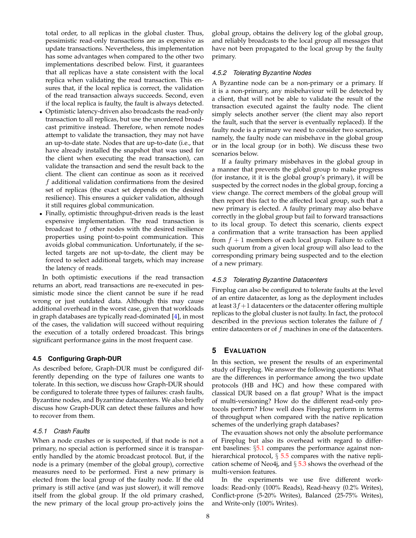total order, to all replicas in the global cluster. Thus, pessimistic read-only transactions are as expensive as update transactions. Nevertheless, this implementation has some advantages when compared to the other two implementations described below. First, it guarantees that all replicas have a state consistent with the local replica when validating the read transaction. This ensures that, if the local replica is correct, the validation of the read transaction always succeeds. Second, even if the local replica is faulty, the fault is always detected.

- Optimistic latency-driven also broadcasts the read-only transaction to all replicas, but use the unordered broadcast primitive instead. Therefore, when remote nodes attempt to validate the transaction, they may not have an up-to-date state. Nodes that are up-to-date (i.e., that have already installed the snapshot that was used for the client when executing the read transaction), can validate the transaction and send the result back to the client. The client can continue as soon as it received f additional validation confirmations from the desired set of replicas (the exact set depends on the desired resilience). This ensures a quicker validation, although it still requires global communication.
- Finally, optimistic throughput-driven reads is the least expensive implementation. The read transaction is broadcast to f other nodes with the desired resilience properties using point-to-point communication. This avoids global communication. Unfortunately, if the selected targets are not up-to-date, the client may be forced to select additional targets, which may increase the latency of reads.

In both optimistic executions if the read transaction returns an abort, read transactions are re-executed in pessimistic mode since the client cannot be sure if he read wrong or just outdated data. Although this may cause additional overhead in the worst case, given that workloads in graph databases are typically read-dominated [\[4\]](#page-10-3), in most of the cases, the validation will succeed without requiring the execution of a totally ordered broadcast. This brings significant performance gains in the most frequent case.

# **4.5 Configuring Graph-DUR**

As described before, Graph-DUR must be configured differently depending on the type of failures one wants to tolerate. In this section, we discuss how Graph-DUR should be configured to tolerate three types of failures: crash faults, Byzantine nodes, and Byzantine datacenters. We also briefly discuss how Graph-DUR can detect these failures and how to recover from them.

#### *4.5.1 Crash Faults*

When a node crashes or is suspected, if that node is not a primary, no special action is performed since it is transparently handled by the atomic broadcast protocol. But, if the node is a primary (member of the global group), corrective measures need to be performed. First a new primary is elected from the local group of the faulty node. If the old primary is still active (and was just slower), it will remove itself from the global group. If the old primary crashed, the new primary of the local group pro-actively joins the

global group, obtains the delivery log of the global group, and reliably broadcasts to the local group all messages that have not been propagated to the local group by the faulty primary.

#### *4.5.2 Tolerating Byzantine Nodes*

A Byzantine node can be a non-primary or a primary. If it is a non-primary, any misbehaviour will be detected by a client, that will not be able to validate the result of the transaction executed against the faulty node. The client simply selects another server (the client may also report the fault, such that the server is eventually replaced). If the faulty node is a primary we need to consider two scenarios, namely, the faulty node can misbehave in the global group or in the local group (or in both). We discuss these two scenarios below.

If a faulty primary misbehaves in the global group in a manner that prevents the global group to make progress (for instance, it it is the global group's primary), it will be suspected by the correct nodes in the global group, forcing a view change. The correct members of the global group will then report this fact to the affected local group, such that a new primary is elected. A faulty primary may also behave correctly in the global group but fail to forward transactions to its local group. To detect this scenario, clients expect a confirmation that a write transaction has been applied from  $f + 1$  members of each local group. Failure to collect such quorum from a given local group will also lead to the corresponding primary being suspected and to the election of a new primary.

# *4.5.3 Tolerating Byzantine Datacenters*

Fireplug can also be configured to tolerate faults at the level of an entire datacenter, as long as the deployment includes at least  $3f+1$  datacenters or the datacenter offering multiple replicas to the global cluster is not faulty. In fact, the protocol described in the previous section tolerates the failure of  $f$ entire datacenters or of  $f$  machines in one of the datacenters.

# **5 EVALUATION**

In this section, we present the results of an experimental study of Fireplug. We answer the following questions: What are the differences in performance among the two update protocols (HB and HC) and how these compared with classical DUR based on a flat group? What is the impact of multi-versioning? How do the different read-only protocols perform? How well does Fireplug perform in terms of throughput when compared with the native replication schemes of the underlying graph databases?

The evauation shows not only the absolute performance of Fireplug but also its overhead with regard to different baselines: §[5.1](#page-8-0) compares the performance against nonhierarchical protocol,  $\S 5.5$  $\S 5.5$  compares with the native replication scheme of Neo4j, and  $\S$  [5.3](#page-9-0) shows the overhead of the multi-version features.

In the experiments we use five different workloads: Read-only (100% Reads), Read-heavy (0.2% Writes), Conflict-prone (5-20% Writes), Balanced (25-75% Writes), and Write-only (100% Writes).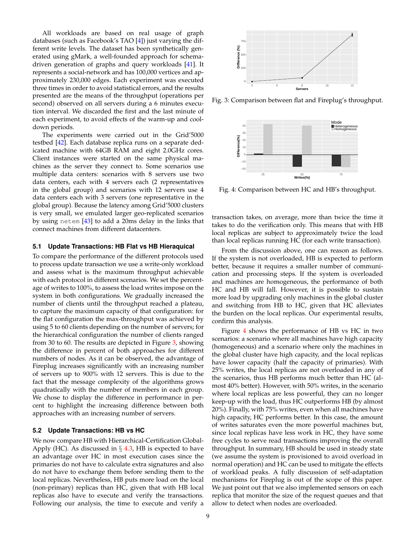All workloads are based on real usage of graph databases (such as Facebook's TAO [\[4\]](#page-10-3)) just varying the different write levels. The dataset has been synthetically generated using gMark, a well-founded approach for schemadriven generation of graphs and query workloads [\[41\]](#page-11-19). It represents a social-network and has 100,000 vertices and approximately 230,000 edges. Each experiment was executed three times in order to avoid statistical errors, and the results presented are the means of the throughput (operations per second) observed on all servers during a 6 minutes execution interval. We discarded the first and the last minute of each experiment, to avoid effects of the warm-up and cooldown periods.

The experiments were carried out in the Grid'5000 testbed [\[42\]](#page-11-20). Each database replica runs on a separate dedicated machine with 64GB RAM and eight 2.0GHz cores. Client instances were started on the same physical machines as the server they connect to. Some scenarios use multiple data centers: scenarios with 8 servers use two data centers, each with 4 servers each (2 representatives in the global group) and scenarios with 12 servers use 4 data centers each with 3 servers (one representative in the global group). Because the latency among Grid'5000 clusters is very small, we emulated larger geo-replicated scenarios by using netem [\[43\]](#page-11-21) to add a 20ms delay in the links that connect machines from different datacenters.

# <span id="page-8-0"></span>**5.1 Update Transactions: HB Flat vs HB Hieraquical**

To compare the performance of the different protocols used to process update transaction we use a write-only workload and assess what is the maximum throughput achievable with each protocol in different scenarios. We set the percentage of writes to 100%, to assess the load writes impose on the system in both configurations. We gradually increased the number of clients until the throughput reached a plateau, to capture the maximum capacity of that configuration: for the flat configuration the max-throughput was achieved by using 5 to 60 clients depending on the number of servers; for the hierarchical configuration the number of clients ranged from 30 to 60. The results are depicted in Figure [3,](#page-8-1) showing the difference in percent of both approaches for different numbers of nodes. As it can be observed, the advantage of Fireplug increases significantly with an increasing number of servers up to 900% with 12 servers. This is due to the fact that the message complexity of the algorithms grows quadratically with the number of members in each group. We chose to display the difference in performance in percent to highlight the increasing difference between both approaches with an increasing number of servers. Encompare the performance of the different protocols used in the performance of the time time to execute and verify a simple performance of the time of the time of the time secure of the time of the time of the time of th

# **5.2 Update Transactions: HB vs HC**

We now compare HB with Hierarchical-Certification Global-Apply (HC). As discussed in  $\S$  [4.3,](#page-4-2) HB is expected to have an advantage over HC in most execution cases since the primaries do not have to calculate extra signatures and also do not have to exchange them before sending them to the local replicas. Nevertheless, HB puts more load on the local (non-primary) replicas than HC, given that with HB local replicas also have to execute and verify the transactions.

<span id="page-8-1"></span>

Fig. 3: Comparison between flat and Fireplug's throughput.

<span id="page-8-2"></span>

Fig. 4: Comparison between HC and HB's throughput.

transaction takes, on average, more than twice the time it takes to do the verification only. This means that with HB local replicas are subject to approximately twice the load than local replicas running HC (for each write transaction).

From the discussion above, one can reason as follows. If the system is not overloaded, HB is expected to perform better, because it requires a smaller number of communication and processing steps. If the system is overloaded and machines are homogeneous, the performance of both HC and HB will fall. However, it is possible to sustain more load by upgrading only machines in the global cluster and switching from HB to HC, given that HC alleviates the burden on the local replicas. Our experimental results, confirm this analysis.

Figure [4](#page-8-2) shows the performance of HB vs HC in two scenarios: a scenario where all machines have high capacity (homogeneous) and a scenario where only the machines in the global cluster have high capacity, and the local replicas have lower capacity (half the capacity of primaries). With 25% writes, the local replicas are not overloaded in any of the scenarios, thus HB performs much better than HC (almost 40% better). However, with 50% writes, in the scenario where local replicas are less powerful, they can no longer keep-up with the load, thus HC outperforms HB (by almost 20%). Finally, with 75% writes, even when all machines have high capacity, HC performs better. In this case, the amount of writes saturates even the more powerful machines but, since local replicas have less work in HC, they have some free cycles to serve read transactions improving the overall throughput. In summary, HB should be used in steady state (we assume the system is provisioned to avoid overload in normal operation) and HC can be used to mitigate the effects of workload peaks. A fully discussion of self-adaptation mechanisms for Fireplug is out of the scope of this paper. We just point out that we also implemented sensors on each replica that monitor the size of the request queues and that allow to detect when nodes are overloaded.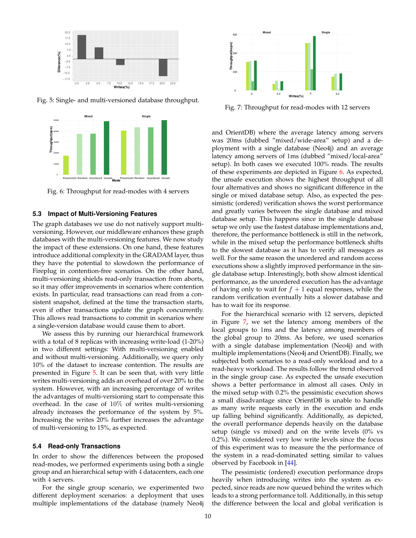<span id="page-9-1"></span>

Fig. 5: Single- and multi-versioned database throughput.

<span id="page-9-2"></span>

Fig. 6: Throughput for read-modes with 4 servers

## <span id="page-9-0"></span>**5.3 Impact of Multi-Versioning Features**

The graph databases we use do not natively support multiversioning. However, our middleware enhances these graph databases with the multi-versioning features. We now study the impact of these extensions. On one hand, these features introduce additional complexity in the GRADAM layer, thus they have the potential to slowdown the performance of Fireplug in contention-free scenarios. On the other hand, multi-versioning shields read-only transaction from aborts, so it may offer improvements in scenarios where contention exists. In particular, read transactions can read from a consistent snapshot, defined at the time the transaction starts, even if other transactions update the graph concurrently. This allows read transactions to commit in scenarios where a single-version database would cause them to abort.

We assess this by running our hierarchical framework with a total of 8 replicas with increasing write-load (1-20%) in two different settings: With multi-versioning enabled and without multi-versioning. Additionally, we query only 10% of the dataset to increase contention. The results are presented in Figure [5.](#page-9-1) It can be seen that, with very little writes multi-versioning adds an overhead of over 20% to the system. However, with an increasing percentage of writes the advantages of multi-versioning start to compensate this overhead. In the case of 10% of writes multi-versioning already increases the performance of the system by 5%. Increasing the writes 20% further increases the advantage of multi-versioning to 15%, as expected.

#### **5.4 Read-only Transactions**

In order to show the differences between the proposed read-modes, we performed experiments using both a single group and an hierarchical setup with 4 datacenters, each one with 4 servers.

For the single group scenario, we experimented two different deployment scenarios: a deployment that uses multiple implementations of the database (namely Neo4j

<span id="page-9-3"></span>

Fig. 7: Throughput for read-modes with 12 servers

and OrientDB) where the average latency among servers was 20ms (dubbed "mixed/wide-area" setup) and a deployment with a single database (Neo4j) and an average latency among servers of 1ms (dubbed "mixed/local-area" setup). In both cases we executed 100% reads. The results of these experiments are depicted in Figure [6.](#page-9-2) As expected, the unsafe execution shows the highest throughput of all four alternatives and shows no significant difference in the single or mixed database setup. Also, as expected the pessimistic (ordered) verification shows the worst performance and greatly varies between the single database and mixed database setup. This happens since in the single database setup we only use the fastest database implementations and, therefore, the performance bottleneck is still in the network, while in the mixed setup the performance bottleneck shifts to the slowest database as it has to verify all messages as well. For the same reason the unordered and random access executions show a slightly improved performance in the single database setup. Interestingly, both show almost identical performance, as the unordered execution has the advantage of having only to wait for  $f + 1$  equal responses, while the random verification eventually hits a slower database and has to wait for its response.

For the hierarchical scenario with 12 servers, depicted in Figure [7,](#page-9-3) we set the latency among members of the local groups to 1ms and the latency among members of the global group to 20ms. As before, we used scenarios with a single database implementation (Neo4j) and with multiple implementations (Neo4j and OrientDB). Finally, we subjected both scenarios to a read-only workload and to a read-heavy workload. The results follow the trend observed in the single group case. As expected the unsafe execution shows a better performance in almost all cases. Only in the mixed setup with 0.2% the pessimistic execution shows a small disadvantage since OrientDB is unable to handle as many write requests early in the execution and ends up falling behind significantly. Additionally, as depicted, the overall performance depends heavily on the database setup (single vs mixed) and on the write levels (0% vs 0.2%). We considered very low write levels since the focus of this experiment was to measure the the performance of the system in a read-dominated setting similar to values observed by Facebook in [\[44\]](#page-11-22).

The pessimistic (ordered) execution performance drops heavily when introducing writes into the system as expected, since reads are now queued behind the writes which leads to a strong performance toll. Additionally, in this setup the difference between the local and global verification is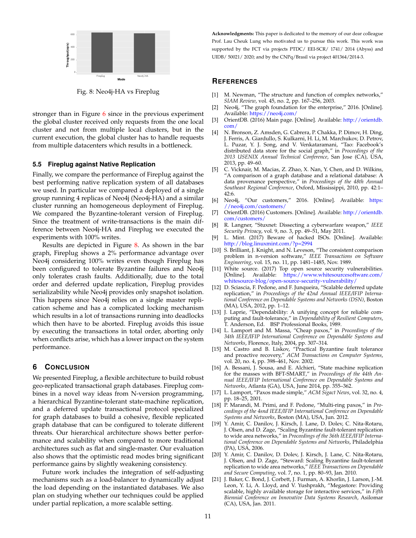<span id="page-10-22"></span>

Fig. 8: Neo4j-HA vs Fireplug

stronger than in Figure  $6$  since in the previous experiment the global cluster received only requests from the one local cluster and not from multiple local clusters, but in the current execution, the global cluster has to handle requests from multiple datacenters which results in a bottleneck.

#### <span id="page-10-21"></span>**5.5 Fireplug against Native Replication**

Finally, we compare the performance of Fireplug against the best performing native replication system of all databases we used. In particular we compared a deployed of a single group running 4 replicas of Neo4j (Neo4j-HA) and a similar cluster running an homogeneous deployment of Fireplug. We compared the Byzantine-tolerant version of Fireplug. Since the treatment of write-transactions is the main difference between Neo4j-HA and Fireplug we executed the experiments with 100% writes.

Results are depicted in Figure [8.](#page-10-22) As shown in the bar graph, Fireplug shows a 2% performance advantage over Neo4j considering 100% writes even though Fireplug has been configured to tolerate Byzantine failures and Neo4j only tolerates crash faults. Additionally, due to the total order and deferred update replication, Fireplug provides serializability while Neo4j provides only snapshot isolation. This happens since Neo4j relies on a single master replication scheme and has a complicated locking mechanism which results in a lot of transactions running into deadlocks which then have to be aborted. Fireplug avoids this issue by executing the transactions in total order, aborting only when conflicts arise, which has a lower impact on the system performance.

# **6 CONCLUSION**

We presented Fireplug, a flexible architecture to build robust geo-replicated transactional graph databases. Fireplug combines in a novel way ideas from N-version programming, a hierarchical Byzantine-tolerant state-machine replication, and a deferred update transactional protocol specialized for graph databases to build a cohesive, flexible replicated graph database that can be configured to tolerate different threats. Our hierarchical architecture shows better performance and scalability when compared to more traditional architectures such as flat and single-master. Our evaluation also shows that the optimistic read modes bring significant performance gains by slightly weakening consistency.

Future work includes the integration of self-adjusting mechanisms such as a load-balancer to dynamically adjust the load depending on the instantiated databases. We also plan on studying whether our techniques could be applied under partial replication, a more scalable setting.

**Acknowledgments:** This paper is dedicated to the memory of our dear colleague Prof. Lau Cheuk Lung who motivated us to pursue this work. This work was supported by the FCT via projects PTDC/ EEI-SCR/ 1741/ 2014 (Abyss) and UIDB/ 50021/ 2020; and by the CNPq/Brasil via project 401364/2014-3.

# **REFERENCES**

- <span id="page-10-0"></span>[1] M. Newman, "The structure and function of complex networks," *SIAM Review*, vol. 45, no. 2, pp. 167–256, 2003.
- <span id="page-10-1"></span>Neo4j, "The graph foundation for the enterprise," 2016. [Online]. Available: <https://neo4j.com/>
- <span id="page-10-2"></span>[3] OrientDB. (2016) Main page. [Online]. Available: [http://orientdb.](http://orientdb.com/) [com/](http://orientdb.com/)
- <span id="page-10-3"></span>[4] N. Bronson, Z. Amsden, G. Cabrera, P. Chakka, P. Dimov, H. Ding, J. Ferris, A. Giardullo, S. Kulkarni, H. Li, M. Marchukov, D. Petrov, L. Puzar, Y. J. Song, and V. Venkataramani, "Tao: Facebook's distributed data store for the social graph," in *Proceedings of the 2013 USENIX Annual Technical Conference*, San Jose (CA), USA, 2013, pp. 49–60.
- <span id="page-10-4"></span>[5] C. Vicknair, M. Macias, Z. Zhao, X. Nan, Y. Chen, and D. Wilkins, "A comparison of a graph database and a relational database: A data provenance perspective," in *Proceedings of the 48th Annual Southeast Regional Conference*, Oxford, Mississippi, 2010, pp. 42:1– 42:6.
- <span id="page-10-5"></span>[6] Neo4j, "Our customers," 2016. [Online]. Available: [https:](https://neo4j.com/customers/) [//neo4j.com/customers/](https://neo4j.com/customers/)
- <span id="page-10-6"></span>[7] OrientDB. (2016) Customers. [Online]. Available: [http://orientdb.](http://orientdb.com/customers/) [com/customers/](http://orientdb.com/customers/)
- <span id="page-10-7"></span>[8] R. Langner, "Stuxnet: Dissecting a cyberwarfare weapon," *IEEE Security Privacy*, vol. 9, no. 3, pp. 49–51, May 2011.
- <span id="page-10-8"></span>[9] L. Mint. (2017) Beware of hacked ISOs. [Online]. Available: <http://blog.linuxmint.com/?p=2994>
- <span id="page-10-9"></span>[10] S. Brilliant, J. Knight, and N. Leveson, "The consistent comparison problem in n-version software," *IEEE Transactions on Software Engineering*, vol. 15, no. 11, pp. 1481–1485, Nov. 1989.
- <span id="page-10-10"></span>[11] White source. (2017) Top open source security vulnerabilities. [Online]. Available: [https://www.whitesourcesoftware.com/](https://www.whitesourcesoftware.com/whitesource-blog/open-source-security-vulnerability/) [whitesource-blog/open-source-security-vulnerability/](https://www.whitesourcesoftware.com/whitesource-blog/open-source-security-vulnerability/)
- <span id="page-10-11"></span>[12] D. Sciascia, F. Pedone, and F. Junqueira, "Scalable deferred update replication," in *Proceedings of the 42nd Annual IEEE/IFIP International Conference on Dependable Systems and Networks (DSN)*, Boston (MA), USA, 2012, pp. 1–12.
- <span id="page-10-12"></span>[13] J. Laprie, "Dependability: A unifying concept for reliable computing and fault-tolerance," in *Dependability of Resilient Computers*, T. Anderson, Ed. BSP Professional Books, 1989.
- <span id="page-10-13"></span>[14] L. Lamport and M. Massa, "Cheap paxos," in *Proceedings of the 34th IEEE/IFIP International Conference on Dependable Systems and Networks*, Florence, Italy, 2004, pp. 307–314.
- <span id="page-10-14"></span>[15] M. Castro and B. Liskov, "Practical Byzantine fault tolerance and proactive recovery," *ACM Transactions on Computer Systems*, vol. 20, no. 4, pp. 398–461, Nov. 2002.
- <span id="page-10-15"></span>[16] A. Bessani, J. Sousa, and E. Alchieri, "State machine replication for the masses with BFT-SMART," in *Proceedings of the 44th Annual IEEE/IFIP International Conference on Dependable Systems and Networks*, Atlanta (GA), USA, June 2014, pp. 355–362.
- <span id="page-10-16"></span>[17] L. Lamport, "Paxos made simple," *ACM Sigact News*, vol. 32, no. 4, pp. 18–25, 2001.
- <span id="page-10-17"></span>[18] P. Marandi, M. Primi, and F. Pedone, "Multi-ring paxos," in *Proceedings of the 4snd IEEE/IFIP International Conference on Dependable Systems and Networks*, Boston (MA), USA, Jun. 2012.
- <span id="page-10-18"></span>[19] Y. Amir, C. Danilov, J. Kirsch, J. Lane, D. Dolev, C. Nita-Rotaru, J. Olsen, and D. Zage, "Scaling Byzantine fault-tolerant replication to wide area networks," in *Proceedings of the 36th IEEE/IFIP International Conference on Dependable Systems and Networks*, Philadelphia (PA), USA, 2006.
- <span id="page-10-19"></span>[20] Y. Amir, C. Danilov, D. Dolev, J. Kirsch, J. Lane, C. Nita-Rotaru, J. Olsen, and D. Zage, "Steward: Scaling Byzantine fault-tolerant replication to wide area networks," *IEEE Transactions on Dependable and Secure Computing*, vol. 7, no. 1, pp. 80–93, Jan. 2010.
- <span id="page-10-20"></span>[21] J. Baker, C. Bond, J. Corbett, J. Furman, A. Khorlin, J. Larson, J.-M. Leon, Y. Li, A. Lloyd, and V. Yushprakh, "Megastore: Providing scalable, highly available storage for interactive services," in *Fifth Biennial Conference on Innovative Data Systems Research*, Asilomar (CA), USA, Jan. 2011.